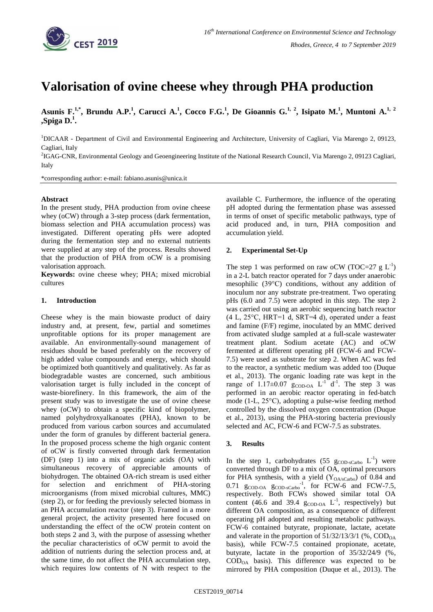

# **Valorisation of ovine cheese whey through PHA production**

**Asunis F.1,\* , Brundu A.P.<sup>1</sup> , Carucci A.<sup>1</sup> , Cocco F.G.<sup>1</sup> , De Gioannis G.1, 2, Isipato M.<sup>1</sup> , Muntoni A.1, 2 ,Spiga D.<sup>1</sup> .**

<sup>1</sup>DICAAR - Department of Civil and Environmental Engineering and Architecture, University of Cagliari, Via Marengo 2, 09123, Cagliari, Italy

2 IGAG-CNR, Environmental Geology and Geoengineering Institute of the National Research Council, Via Marengo 2, 09123 Cagliari, Italy

\*corresponding author: e-mail: fabiano.asunis@unica.it

### **Abstract**

In the present study, PHA production from ovine cheese whey (oCW) through a 3-step process (dark fermentation, biomass selection and PHA accumulation process) was investigated. Different operating pHs were adopted during the fermentation step and no external nutrients were supplied at any step of the process. Results showed that the production of PHA from oCW is a promising valorisation approach.

**Keywords:** ovine cheese whey; PHA; mixed microbial cultures

## **1. Introduction**

Cheese whey is the main biowaste product of dairy industry and, at present, few, partial and sometimes unprofitable options for its proper management are available. An environmentally-sound management of residues should be based preferably on the recovery of high added value compounds and energy, which should be optimized both quantitively and qualitatively. As far as biodegradable wastes are concerned, such ambitious valorisation target is fully included in the concept of waste-biorefinery. In this framework, the aim of the present study was to investigate the use of ovine cheese whey (oCW) to obtain a specific kind of biopolymer, named polyhydroxyalkanoates (PHA), known to be produced from various carbon sources and accumulated under the form of granules by different bacterial genera. In the proposed process scheme the high organic content of oCW is firstly converted through dark fermentation (DF) (step 1) into a mix of organic acids (OA) with simultaneous recovery of appreciable amounts of biohydrogen. The obtained OA-rich stream is used either for selection and enrichment of PHA-storing microorganisms (from mixed microbial cultures, MMC) (step 2), or for feeding the previously selected biomass in an PHA accumulation reactor (step 3). Framed in a more general project, the activity presented here focused on understanding the effect of the oCW protein content on both steps 2 and 3, with the purpose of assessing whether the peculiar characteristics of oCW permit to avoid the addition of nutrients during the selection process and, at the same time, do not affect the PHA accumulation step, which requires low contents of N with respect to the

available C. Furthermore, the influence of the operating pH adopted during the fermentation phase was assessed in terms of onset of specific metabolic pathways, type of acid produced and, in turn, PHA composition and accumulation yield.

### **2. Experimental Set-Up**

The step 1 was performed on raw oCW (TOC=27  $g L^{-1}$ ) in a 2-L batch reactor operated for 7 days under anaerobic mesophilic (39°C) conditions, without any addition of inoculum nor any substrate pre-treatment. Two operating pHs (6.0 and 7.5) were adopted in this step. The step 2 was carried out using an aerobic sequencing batch reactor (4 L, 25°C, HRT=1 d, SRT=4 d), operated under a feast and famine (F/F) regime, inoculated by an MMC derived from activated sludge sampled at a full-scale wastewater treatment plant. Sodium acetate (AC) and oCW fermented at different operating pH (FCW-6 and FCW-7.5) were used as substrate for step 2. When AC was fed to the reactor, a synthetic medium was added too (Duque et al., 2013). The organic loading rate was kept in the range of  $1.17 \pm 0.07$  g<sub>COD-OA</sub> L<sup>-1</sup> d<sup>-1</sup>. The step 3 was performed in an aerobic reactor operating in fed-batch mode (1-L, 25°C), adopting a pulse-wise feeding method controlled by the dissolved oxygen concentration (Duque et al., 2013), using the PHA-storing bacteria previously selected and AC, FCW-6 and FCW-7.5 as substrates.

### **3. Results**

In the step 1, carbohydrates  $(55 \text{ g}_{\text{COD-SCarbo}} L^{-1})$  were converted through DF to a mix of OA, optimal precursors for PHA synthesis, with a yield  $(Y_{O A/SCarbo})$  of 0.84 and  $0.71$  g<sub>COD-OA</sub> g<sub>COD-sCarbo</sub><sup>-1</sup>, for FCW-6 and FCW-7.5, respectively. Both FCWs showed similar total OA content (46.6 and 39.4  $g_{\text{COD-OA}}$   $L^{-1}$ , respectively) but different OA composition, as a consequence of different operating pH adopted and resulting metabolic pathways. FCW-6 contained butyrate, propionate, lactate, acetate and valerate in the proportion of  $51/32/13/3/1$  (%,  $\text{COD}_{OA}$ ) basis), while FCW-7.5 contained propionate, acetate, butyrate, lactate in the proportion of 35/32/24/9 (%,  $\text{COD}_{\text{OA}}$  basis). This difference was expected to be mirrored by PHA composition (Duque et al., 2013). The